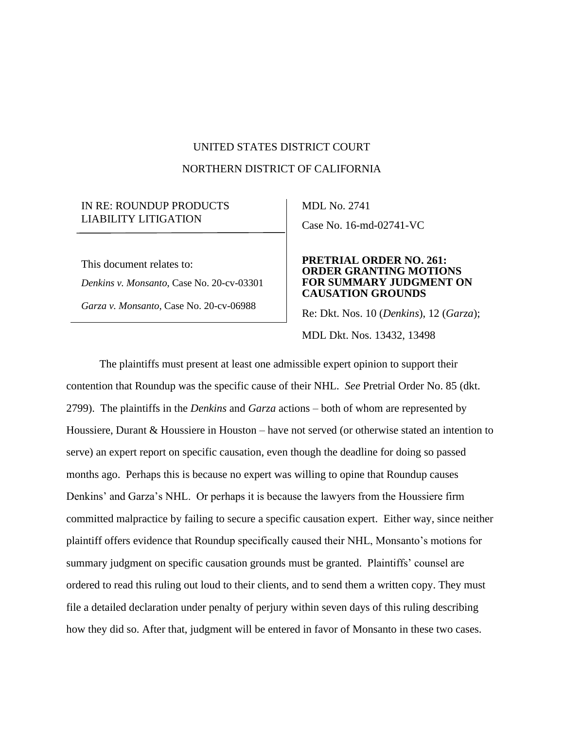### UNITED STATES DISTRICT COURT

#### NORTHERN DISTRICT OF CALIFORNIA

## IN RE: ROUNDUP PRODUCTS LIABILITY LITIGATION

This document relates to: *Denkins v. Monsanto*, Case No. 20-cv-03301 *Garza v. Monsanto*, Case No. 20-cv-06988

MDL No. 2741 Case No. 16-md-02741-VC

### **PRETRIAL ORDER NO. 261: ORDER GRANTING MOTIONS FOR SUMMARY JUDGMENT ON CAUSATION GROUNDS**

Re: Dkt. Nos. 10 (*Denkins*), 12 (*Garza*);

MDL Dkt. Nos. 13432, 13498

The plaintiffs must present at least one admissible expert opinion to support their contention that Roundup was the specific cause of their NHL. *See* Pretrial Order No. 85 (dkt. 2799). The plaintiffs in the *Denkins* and *Garza* actions – both of whom are represented by Houssiere, Durant & Houssiere in Houston – have not served (or otherwise stated an intention to serve) an expert report on specific causation, even though the deadline for doing so passed months ago. Perhaps this is because no expert was willing to opine that Roundup causes Denkins' and Garza's NHL. Or perhaps it is because the lawyers from the Houssiere firm committed malpractice by failing to secure a specific causation expert. Either way, since neither plaintiff offers evidence that Roundup specifically caused their NHL, Monsanto's motions for summary judgment on specific causation grounds must be granted. Plaintiffs' counsel are ordered to read this ruling out loud to their clients, and to send them a written copy. They must file a detailed declaration under penalty of perjury within seven days of this ruling describing how they did so. After that, judgment will be entered in favor of Monsanto in these two cases.